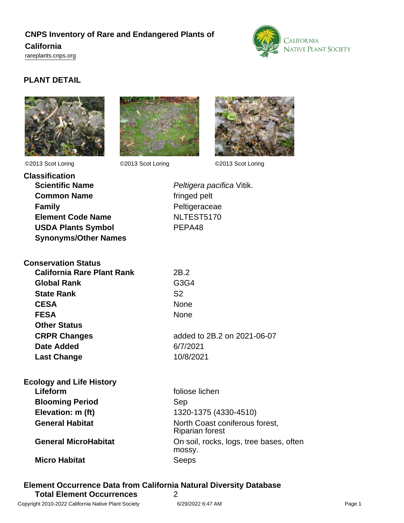# **CNPS Inventory of Rare and Endangered Plants of California**

<rareplants.cnps.org>



### **PLANT DETAIL**







©2013 Scot Loring ©2013 Scot Loring ©2013 Scot Loring

| Peltigera paci |
|----------------|
| fringed pelt   |
| Peltigeraceae  |
| NLTEST5170     |
| PEPA48         |
|                |
|                |

| fringed pelt  |  |
|---------------|--|
| Peltigeraceae |  |
| NLTEST5170    |  |
| PEPA48        |  |

Peltigera pacifica Vitik.

| <b>Conservation Status</b>        |                             |
|-----------------------------------|-----------------------------|
| <b>California Rare Plant Rank</b> | 2B.2                        |
| <b>Global Rank</b>                | G3G4                        |
| <b>State Rank</b>                 | S <sub>2</sub>              |
| <b>CESA</b>                       | None                        |
| <b>FESA</b>                       | None                        |
| <b>Other Status</b>               |                             |
| <b>CRPR Changes</b>               | added to 2B.2 on 2021-06-07 |
| <b>Date Added</b>                 | 6/7/2021                    |
| <b>Last Change</b>                | 10/8/2021                   |

| <b>Ecology and Life History</b> |                                                          |
|---------------------------------|----------------------------------------------------------|
| Lifeform                        | foliose lichen                                           |
| <b>Blooming Period</b>          | Sep                                                      |
| Elevation: m (ft)               | 1320-1375 (4330-4510)                                    |
| <b>General Habitat</b>          | North Coast coniferous forest,<br><b>Riparian forest</b> |
| <b>General MicroHabitat</b>     | On soil, rocks, logs, tree bases, often<br>mossy.        |
| <b>Micro Habitat</b>            | Seeps                                                    |

## **Element Occurrence Data from California Natural Diversity Database**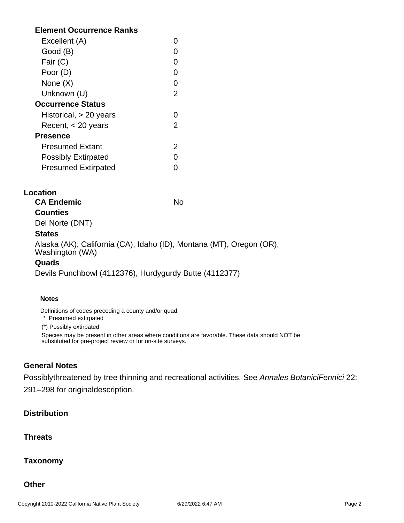#### **Element Occurrence Ranks**

| Excellent (A)              |   |
|----------------------------|---|
| Good (B)                   |   |
| Fair (C)                   |   |
| Poor (D)                   | 0 |
| None (X)                   | O |
| Unknown (U)                | 2 |
| <b>Occurrence Status</b>   |   |
| Historical, > 20 years     | 0 |
| Recent, $<$ 20 years       | 2 |
| <b>Presence</b>            |   |
| <b>Presumed Extant</b>     | 2 |
| <b>Possibly Extirpated</b> |   |
| <b>Presumed Extirpated</b> |   |

#### **Location**

**CA Endemic** No

#### **Counties**

Del Norte (DNT)

#### **States**

Alaska (AK), California (CA), Idaho (ID), Montana (MT), Oregon (OR), Washington (WA)

#### **Quads**

Devils Punchbowl (4112376), Hurdygurdy Butte (4112377)

#### **Notes**

Definitions of codes preceding a county and/or quad:

\* Presumed extirpated

(\*) Possibly extirpated

Species may be present in other areas where conditions are favorable. These data should NOT be substituted for pre-project review or for on-site surveys.

#### **General Notes**

Possiblythreatened by tree thinning and recreational activities. See Annales BotaniciFennici 22: 291–298 for originaldescription.

#### **Distribution**

#### **Threats**

**Taxonomy**

**Other**